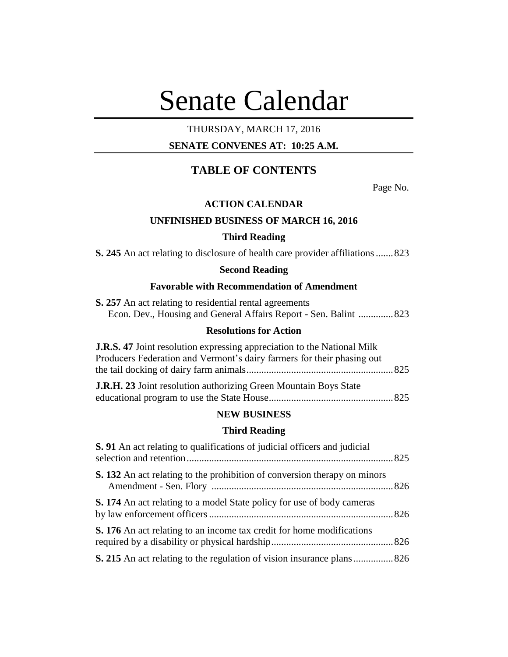# Senate Calendar

# THURSDAY, MARCH 17, 2016

# **SENATE CONVENES AT: 10:25 A.M.**

# **TABLE OF CONTENTS**

Page No.

# **ACTION CALENDAR**

# **UNFINISHED BUSINESS OF MARCH 16, 2016**

# **Third Reading**

**S. 245** An act relating to disclosure of health care provider affiliations.......823

# **Second Reading**

# **Favorable with Recommendation of Amendment**

| <b>S. 257</b> An act relating to residential rental agreements    |  |
|-------------------------------------------------------------------|--|
| Econ. Dev., Housing and General Affairs Report - Sen. Balint  823 |  |

# **Resolutions for Action**

| <b>J.R.S. 47</b> Joint resolution expressing appreciation to the National Milk |  |
|--------------------------------------------------------------------------------|--|
| Producers Federation and Vermont's dairy farmers for their phasing out         |  |
|                                                                                |  |
| <b>IRH 23</b> Joint resolution authorizing Green Mountain Roys State           |  |

| $\frac{1}{2}$ . $\frac{1}{2}$ . $\frac{1}{2}$ . $\frac{1}{2}$ . $\frac{1}{2}$ . $\frac{1}{2}$ . $\frac{1}{2}$ . $\frac{1}{2}$ . $\frac{1}{2}$ . $\frac{1}{2}$ . $\frac{1}{2}$ . $\frac{1}{2}$ . $\frac{1}{2}$ . $\frac{1}{2}$ . $\frac{1}{2}$ . $\frac{1}{2}$ . $\frac{1}{2}$ . $\frac{1}{2}$ . $\frac{1$ |  |
|-----------------------------------------------------------------------------------------------------------------------------------------------------------------------------------------------------------------------------------------------------------------------------------------------------------|--|
|                                                                                                                                                                                                                                                                                                           |  |

## **NEW BUSINESS**

### **Third Reading**

| <b>S.</b> 91 An act relating to qualifications of judicial officers and judicial |  |
|----------------------------------------------------------------------------------|--|
| <b>S. 132</b> An act relating to the prohibition of conversion therapy on minors |  |
| <b>S. 174</b> An act relating to a model State policy for use of body cameras    |  |
| S. 176 An act relating to an income tax credit for home modifications            |  |
|                                                                                  |  |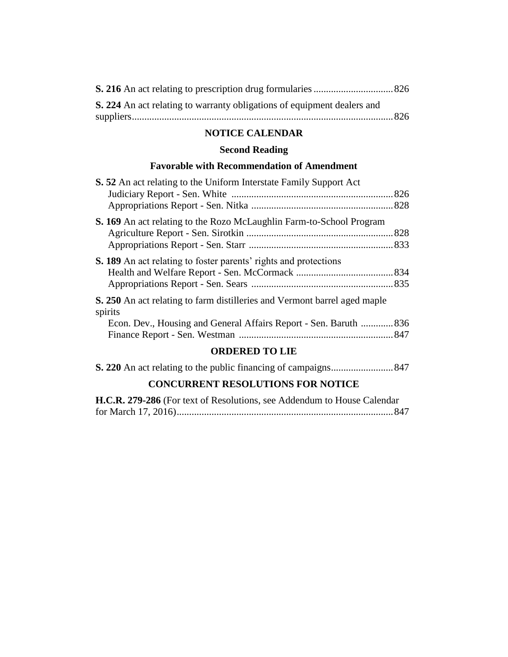| S. 224 An act relating to warranty obligations of equipment dealers and |  |
|-------------------------------------------------------------------------|--|
|                                                                         |  |

# **NOTICE CALENDAR**

# **Second Reading**

# **Favorable with Recommendation of Amendment**

| <b>S. 52</b> An act relating to the Uniform Interstate Family Support Act                   |  |
|---------------------------------------------------------------------------------------------|--|
|                                                                                             |  |
|                                                                                             |  |
| S. 169 An act relating to the Rozo McLaughlin Farm-to-School Program                        |  |
|                                                                                             |  |
|                                                                                             |  |
| <b>S. 189</b> An act relating to foster parents' rights and protections                     |  |
|                                                                                             |  |
|                                                                                             |  |
| <b>S. 250</b> An act relating to farm distilleries and Vermont barrel aged maple<br>spirits |  |
| Econ. Dev., Housing and General Affairs Report - Sen. Baruth  836                           |  |
|                                                                                             |  |
| ADDEDED TA I IF                                                                             |  |

#### **ORDERED TO LIE**

# **CONCURRENT RESOLUTIONS FOR NOTICE**

| H.C.R. 279-286 (For text of Resolutions, see Addendum to House Calendar |  |
|-------------------------------------------------------------------------|--|
|                                                                         |  |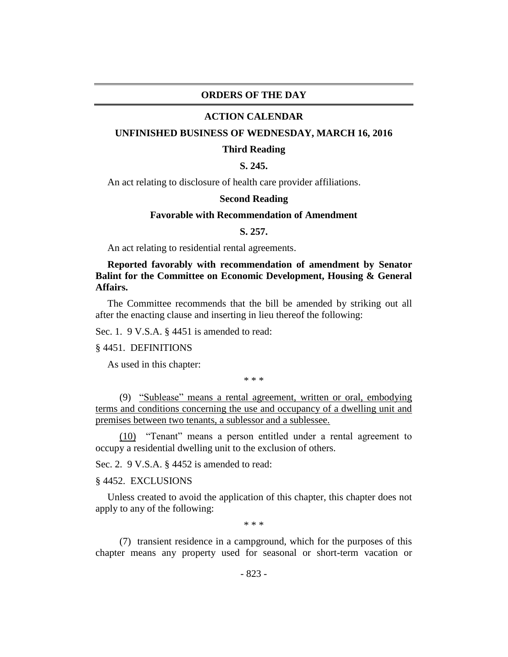#### **ORDERS OF THE DAY**

#### **ACTION CALENDAR**

#### **UNFINISHED BUSINESS OF WEDNESDAY, MARCH 16, 2016**

#### **Third Reading**

# **S. 245.**

An act relating to disclosure of health care provider affiliations.

#### **Second Reading**

#### **Favorable with Recommendation of Amendment**

#### **S. 257.**

An act relating to residential rental agreements.

# **Reported favorably with recommendation of amendment by Senator Balint for the Committee on Economic Development, Housing & General Affairs.**

The Committee recommends that the bill be amended by striking out all after the enacting clause and inserting in lieu thereof the following:

Sec. 1. 9 V.S.A. § 4451 is amended to read:

#### § 4451. DEFINITIONS

As used in this chapter:

\* \* \*

(9) "Sublease" means a rental agreement, written or oral, embodying terms and conditions concerning the use and occupancy of a dwelling unit and premises between two tenants, a sublessor and a sublessee.

(10) "Tenant" means a person entitled under a rental agreement to occupy a residential dwelling unit to the exclusion of others.

Sec. 2. 9 V.S.A. § 4452 is amended to read:

### § 4452. EXCLUSIONS

Unless created to avoid the application of this chapter, this chapter does not apply to any of the following:

\* \* \*

(7) transient residence in a campground, which for the purposes of this chapter means any property used for seasonal or short-term vacation or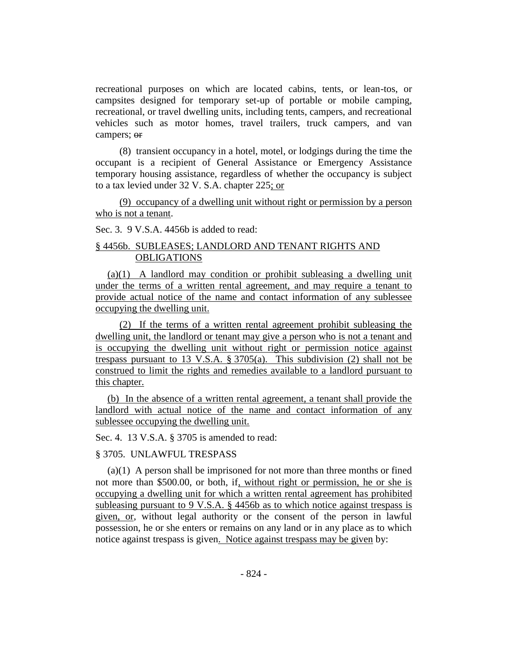recreational purposes on which are located cabins, tents, or lean-tos, or campsites designed for temporary set-up of portable or mobile camping, recreational, or travel dwelling units, including tents, campers, and recreational vehicles such as motor homes, travel trailers, truck campers, and van campers; or

(8) transient occupancy in a hotel, motel, or lodgings during the time the occupant is a recipient of General Assistance or Emergency Assistance temporary housing assistance, regardless of whether the occupancy is subject to a tax levied under 32 V. S.A. chapter 225; or

(9) occupancy of a dwelling unit without right or permission by a person who is not a tenant.

Sec. 3. 9 V.S.A. 4456b is added to read:

# § 4456b. SUBLEASES; LANDLORD AND TENANT RIGHTS AND **OBLIGATIONS**

(a)(1) A landlord may condition or prohibit subleasing a dwelling unit under the terms of a written rental agreement, and may require a tenant to provide actual notice of the name and contact information of any sublessee occupying the dwelling unit.

(2) If the terms of a written rental agreement prohibit subleasing the dwelling unit, the landlord or tenant may give a person who is not a tenant and is occupying the dwelling unit without right or permission notice against trespass pursuant to 13 V.S.A. § 3705(a). This subdivision (2) shall not be construed to limit the rights and remedies available to a landlord pursuant to this chapter.

(b) In the absence of a written rental agreement, a tenant shall provide the landlord with actual notice of the name and contact information of any sublessee occupying the dwelling unit.

Sec. 4. 13 V.S.A. § 3705 is amended to read:

# § 3705. UNLAWFUL TRESPASS

(a)(1) A person shall be imprisoned for not more than three months or fined not more than \$500.00, or both, if, without right or permission, he or she is occupying a dwelling unit for which a written rental agreement has prohibited subleasing pursuant to 9 V.S.A. § 4456b as to which notice against trespass is given, or, without legal authority or the consent of the person in lawful possession, he or she enters or remains on any land or in any place as to which notice against trespass is given. Notice against trespass may be given by: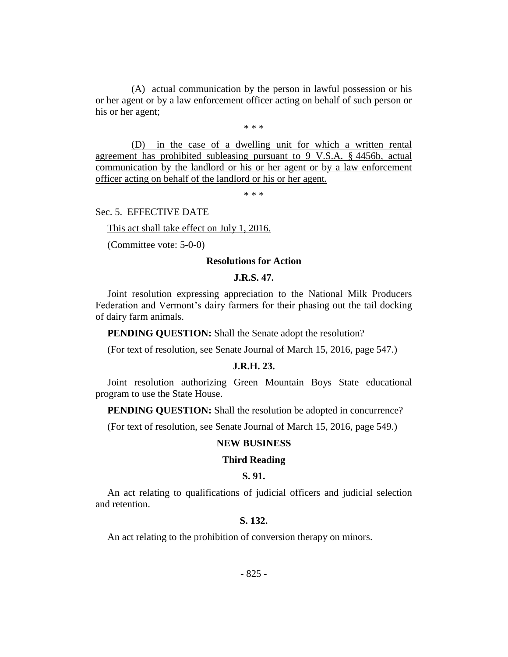(A) actual communication by the person in lawful possession or his or her agent or by a law enforcement officer acting on behalf of such person or his or her agent;

\* \* \*

(D) in the case of a dwelling unit for which a written rental agreement has prohibited subleasing pursuant to 9 V.S.A. § 4456b, actual communication by the landlord or his or her agent or by a law enforcement officer acting on behalf of the landlord or his or her agent.

\* \* \*

Sec. 5. EFFECTIVE DATE

This act shall take effect on July 1, 2016.

(Committee vote: 5-0-0)

#### **Resolutions for Action**

#### **J.R.S. 47.**

Joint resolution expressing appreciation to the National Milk Producers Federation and Vermont's dairy farmers for their phasing out the tail docking of dairy farm animals.

**PENDING QUESTION:** Shall the Senate adopt the resolution?

(For text of resolution, see Senate Journal of March 15, 2016, page 547.)

#### **J.R.H. 23.**

Joint resolution authorizing Green Mountain Boys State educational program to use the State House.

**PENDING QUESTION:** Shall the resolution be adopted in concurrence?

(For text of resolution, see Senate Journal of March 15, 2016, page 549.)

#### **NEW BUSINESS**

#### **Third Reading**

# **S. 91.**

An act relating to qualifications of judicial officers and judicial selection and retention.

# **S. 132.**

An act relating to the prohibition of conversion therapy on minors.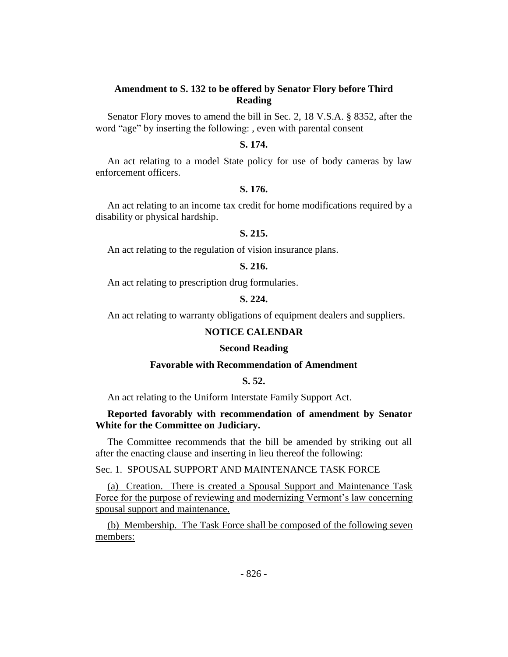# **Amendment to S. 132 to be offered by Senator Flory before Third Reading**

Senator Flory moves to amend the bill in Sec. 2, 18 V.S.A. § 8352, after the word "age" by inserting the following: , even with parental consent

# **S. 174.**

An act relating to a model State policy for use of body cameras by law enforcement officers.

# **S. 176.**

An act relating to an income tax credit for home modifications required by a disability or physical hardship.

# **S. 215.**

An act relating to the regulation of vision insurance plans.

# **S. 216.**

An act relating to prescription drug formularies.

#### **S. 224.**

An act relating to warranty obligations of equipment dealers and suppliers.

#### **NOTICE CALENDAR**

#### **Second Reading**

#### **Favorable with Recommendation of Amendment**

# **S. 52.**

An act relating to the Uniform Interstate Family Support Act.

#### **Reported favorably with recommendation of amendment by Senator White for the Committee on Judiciary.**

The Committee recommends that the bill be amended by striking out all after the enacting clause and inserting in lieu thereof the following:

Sec. 1. SPOUSAL SUPPORT AND MAINTENANCE TASK FORCE

(a) Creation. There is created a Spousal Support and Maintenance Task Force for the purpose of reviewing and modernizing Vermont's law concerning spousal support and maintenance.

(b) Membership. The Task Force shall be composed of the following seven members: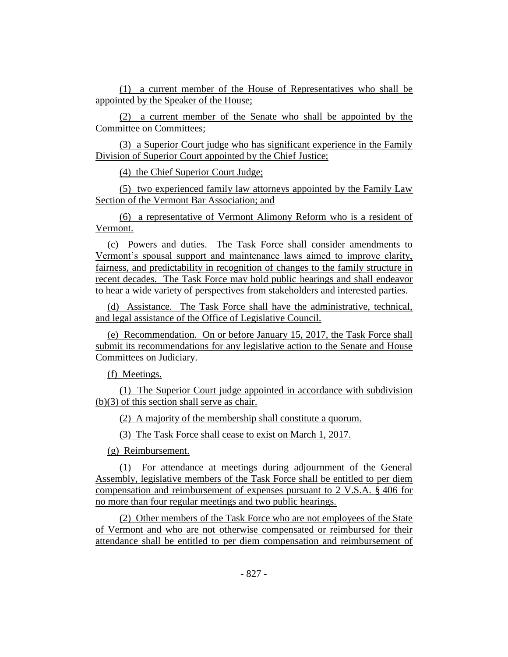(1) a current member of the House of Representatives who shall be appointed by the Speaker of the House;

(2) a current member of the Senate who shall be appointed by the Committee on Committees;

(3) a Superior Court judge who has significant experience in the Family Division of Superior Court appointed by the Chief Justice;

(4) the Chief Superior Court Judge;

(5) two experienced family law attorneys appointed by the Family Law Section of the Vermont Bar Association; and

(6) a representative of Vermont Alimony Reform who is a resident of Vermont.

(c) Powers and duties. The Task Force shall consider amendments to Vermont's spousal support and maintenance laws aimed to improve clarity, fairness, and predictability in recognition of changes to the family structure in recent decades. The Task Force may hold public hearings and shall endeavor to hear a wide variety of perspectives from stakeholders and interested parties.

(d) Assistance. The Task Force shall have the administrative, technical, and legal assistance of the Office of Legislative Council.

(e) Recommendation. On or before January 15, 2017, the Task Force shall submit its recommendations for any legislative action to the Senate and House Committees on Judiciary.

(f) Meetings.

(1) The Superior Court judge appointed in accordance with subdivision (b)(3) of this section shall serve as chair.

(2) A majority of the membership shall constitute a quorum.

(3) The Task Force shall cease to exist on March 1, 2017.

(g) Reimbursement.

(1) For attendance at meetings during adjournment of the General Assembly, legislative members of the Task Force shall be entitled to per diem compensation and reimbursement of expenses pursuant to 2 V.S.A. § 406 for no more than four regular meetings and two public hearings.

(2) Other members of the Task Force who are not employees of the State of Vermont and who are not otherwise compensated or reimbursed for their attendance shall be entitled to per diem compensation and reimbursement of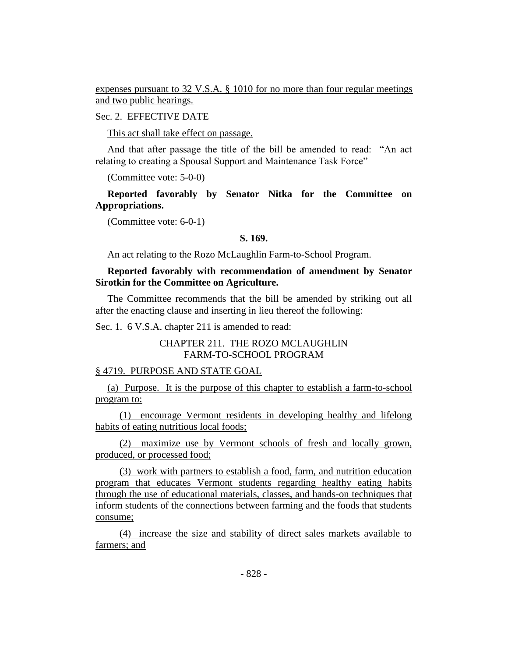expenses pursuant to 32 V.S.A. § 1010 for no more than four regular meetings and two public hearings.

#### Sec. 2. EFFECTIVE DATE

This act shall take effect on passage.

And that after passage the title of the bill be amended to read: "An act relating to creating a Spousal Support and Maintenance Task Force"

(Committee vote: 5-0-0)

**Reported favorably by Senator Nitka for the Committee on Appropriations.**

(Committee vote: 6-0-1)

#### **S. 169.**

An act relating to the Rozo McLaughlin Farm-to-School Program.

# **Reported favorably with recommendation of amendment by Senator Sirotkin for the Committee on Agriculture.**

The Committee recommends that the bill be amended by striking out all after the enacting clause and inserting in lieu thereof the following:

Sec. 1. 6 V.S.A. chapter 211 is amended to read:

# CHAPTER 211. THE ROZO MCLAUGHLIN FARM-TO-SCHOOL PROGRAM

#### § 4719. PURPOSE AND STATE GOAL

(a) Purpose. It is the purpose of this chapter to establish a farm-to-school program to:

(1) encourage Vermont residents in developing healthy and lifelong habits of eating nutritious local foods;

(2) maximize use by Vermont schools of fresh and locally grown, produced, or processed food;

(3) work with partners to establish a food, farm, and nutrition education program that educates Vermont students regarding healthy eating habits through the use of educational materials, classes, and hands-on techniques that inform students of the connections between farming and the foods that students consume;

(4) increase the size and stability of direct sales markets available to farmers; and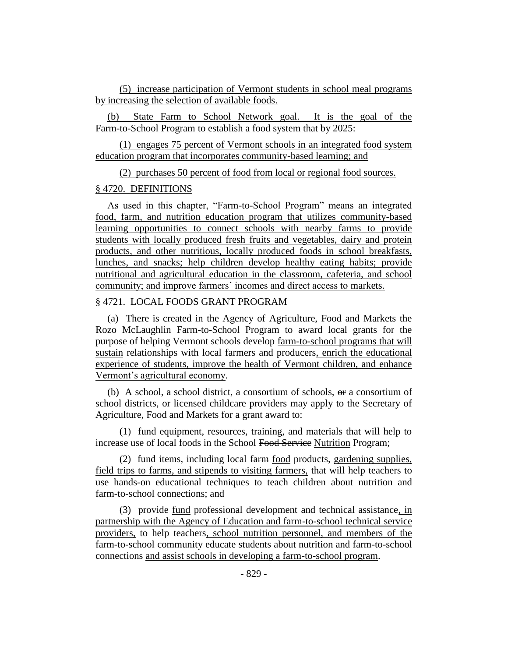(5) increase participation of Vermont students in school meal programs by increasing the selection of available foods.

(b) State Farm to School Network goal. It is the goal of the Farm-to-School Program to establish a food system that by 2025:

(1) engages 75 percent of Vermont schools in an integrated food system education program that incorporates community-based learning; and

(2) purchases 50 percent of food from local or regional food sources.

### § 4720. DEFINITIONS

As used in this chapter, "Farm-to-School Program" means an integrated food, farm, and nutrition education program that utilizes community-based learning opportunities to connect schools with nearby farms to provide students with locally produced fresh fruits and vegetables, dairy and protein products, and other nutritious, locally produced foods in school breakfasts, lunches, and snacks; help children develop healthy eating habits; provide nutritional and agricultural education in the classroom, cafeteria, and school community; and improve farmers' incomes and direct access to markets.

# § 4721. LOCAL FOODS GRANT PROGRAM

(a) There is created in the Agency of Agriculture, Food and Markets the Rozo McLaughlin Farm-to-School Program to award local grants for the purpose of helping Vermont schools develop farm-to-school programs that will sustain relationships with local farmers and producers, enrich the educational experience of students, improve the health of Vermont children, and enhance Vermont's agricultural economy.

(b) A school, a school district, a consortium of schools,  $\Theta$  a consortium of school districts, or licensed childcare providers may apply to the Secretary of Agriculture, Food and Markets for a grant award to:

(1) fund equipment, resources, training, and materials that will help to increase use of local foods in the School Food Service Nutrition Program;

(2) fund items, including local farm food products, gardening supplies, field trips to farms, and stipends to visiting farmers, that will help teachers to use hands-on educational techniques to teach children about nutrition and farm-to-school connections; and

(3) provide fund professional development and technical assistance, in partnership with the Agency of Education and farm-to-school technical service providers, to help teachers, school nutrition personnel, and members of the farm-to-school community educate students about nutrition and farm-to-school connections and assist schools in developing a farm-to-school program.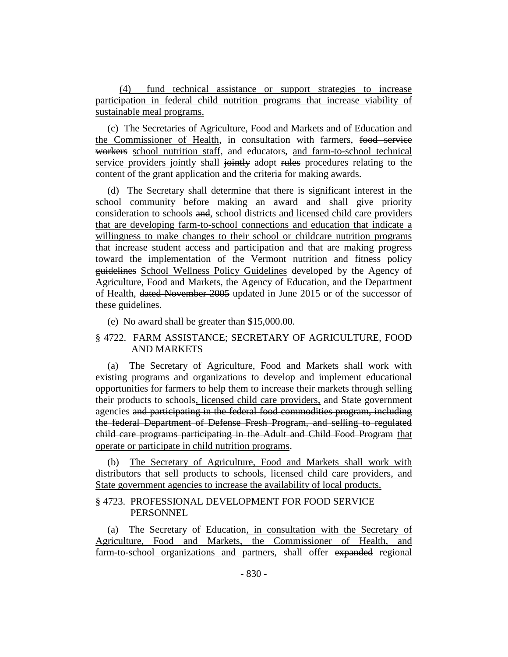(4) fund technical assistance or support strategies to increase participation in federal child nutrition programs that increase viability of sustainable meal programs.

(c) The Secretaries of Agriculture, Food and Markets and of Education and the Commissioner of Health, in consultation with farmers, food service workers school nutrition staff, and educators, and farm-to-school technical service providers jointly shall jointly adopt rules procedures relating to the content of the grant application and the criteria for making awards.

(d) The Secretary shall determine that there is significant interest in the school community before making an award and shall give priority consideration to schools and, school districts and licensed child care providers that are developing farm-to-school connections and education that indicate a willingness to make changes to their school or childcare nutrition programs that increase student access and participation and that are making progress toward the implementation of the Vermont nutrition and fitness policy guidelines School Wellness Policy Guidelines developed by the Agency of Agriculture, Food and Markets, the Agency of Education, and the Department of Health, dated November 2005 updated in June 2015 or of the successor of these guidelines.

(e) No award shall be greater than \$15,000.00.

# § 4722. FARM ASSISTANCE; SECRETARY OF AGRICULTURE, FOOD AND MARKETS

(a) The Secretary of Agriculture, Food and Markets shall work with existing programs and organizations to develop and implement educational opportunities for farmers to help them to increase their markets through selling their products to schools, licensed child care providers, and State government agencies and participating in the federal food commodities program, including the federal Department of Defense Fresh Program, and selling to regulated child care programs participating in the Adult and Child Food Program that operate or participate in child nutrition programs.

(b) The Secretary of Agriculture, Food and Markets shall work with distributors that sell products to schools, licensed child care providers, and State government agencies to increase the availability of local products.

# § 4723. PROFESSIONAL DEVELOPMENT FOR FOOD SERVICE **PERSONNEL**

(a) The Secretary of Education, in consultation with the Secretary of Agriculture, Food and Markets, the Commissioner of Health, and farm-to-school organizations and partners, shall offer expanded regional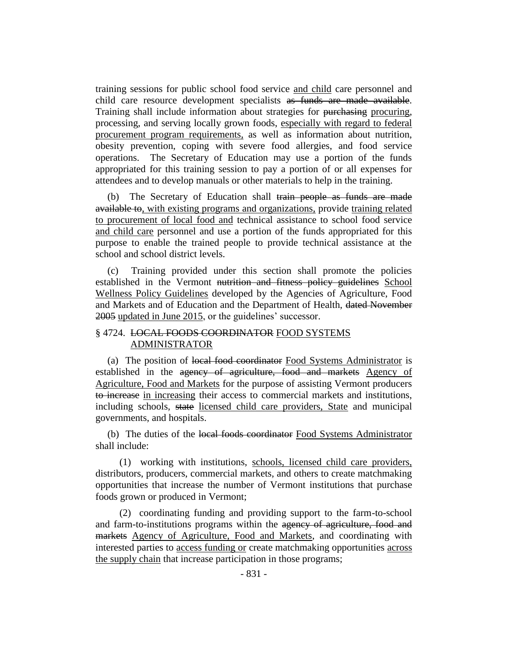training sessions for public school food service and child care personnel and child care resource development specialists as funds are made available. Training shall include information about strategies for purchasing procuring, processing, and serving locally grown foods, especially with regard to federal procurement program requirements, as well as information about nutrition, obesity prevention, coping with severe food allergies, and food service operations. The Secretary of Education may use a portion of the funds appropriated for this training session to pay a portion of or all expenses for attendees and to develop manuals or other materials to help in the training.

(b) The Secretary of Education shall train people as funds are made available to, with existing programs and organizations, provide training related to procurement of local food and technical assistance to school food service and child care personnel and use a portion of the funds appropriated for this purpose to enable the trained people to provide technical assistance at the school and school district levels.

(c) Training provided under this section shall promote the policies established in the Vermont nutrition and fitness policy guidelines School Wellness Policy Guidelines developed by the Agencies of Agriculture, Food and Markets and of Education and the Department of Health, dated November 2005 updated in June 2015, or the guidelines' successor.

# § 4724. LOCAL FOODS COORDINATOR FOOD SYSTEMS ADMINISTRATOR

(a) The position of local food coordinator Food Systems Administrator is established in the agency of agriculture, food and markets Agency of Agriculture, Food and Markets for the purpose of assisting Vermont producers to increase in increasing their access to commercial markets and institutions, including schools, state licensed child care providers, State and municipal governments, and hospitals.

(b) The duties of the local foods coordinator Food Systems Administrator shall include:

(1) working with institutions, schools, licensed child care providers, distributors, producers, commercial markets, and others to create matchmaking opportunities that increase the number of Vermont institutions that purchase foods grown or produced in Vermont;

(2) coordinating funding and providing support to the farm-to-school and farm-to-institutions programs within the agency of agriculture, food and markets Agency of Agriculture, Food and Markets, and coordinating with interested parties to access funding or create matchmaking opportunities across the supply chain that increase participation in those programs;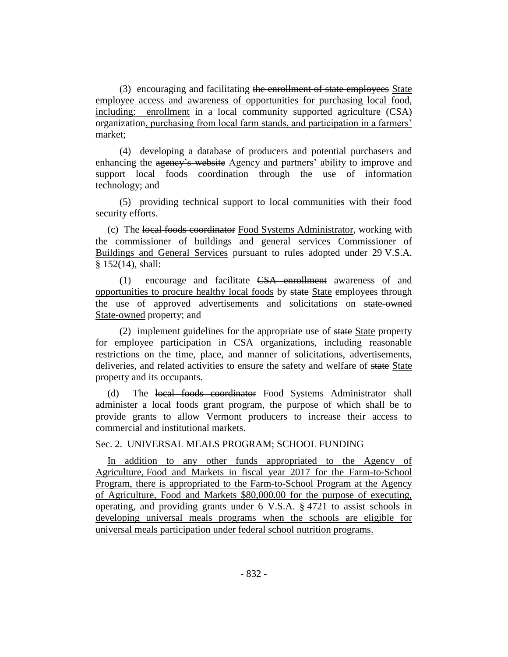(3) encouraging and facilitating the enrollment of state employees State employee access and awareness of opportunities for purchasing local food, including: enrollment in a local community supported agriculture (CSA) organization, purchasing from local farm stands, and participation in a farmers' market;

(4) developing a database of producers and potential purchasers and enhancing the agency's website Agency and partners' ability to improve and support local foods coordination through the use of information technology; and

(5) providing technical support to local communities with their food security efforts.

(c) The local foods coordinator Food Systems Administrator, working with the commissioner of buildings and general services Commissioner of Buildings and General Services pursuant to rules adopted under 29 V.S.A. § 152(14), shall:

(1) encourage and facilitate CSA enrollment awareness of and opportunities to procure healthy local foods by state State employees through the use of approved advertisements and solicitations on state-owned State-owned property; and

(2) implement guidelines for the appropriate use of state State property for employee participation in CSA organizations, including reasonable restrictions on the time, place, and manner of solicitations, advertisements, deliveries, and related activities to ensure the safety and welfare of state State property and its occupants.

(d) The local foods coordinator Food Systems Administrator shall administer a local foods grant program, the purpose of which shall be to provide grants to allow Vermont producers to increase their access to commercial and institutional markets.

Sec. 2. UNIVERSAL MEALS PROGRAM; SCHOOL FUNDING

In addition to any other funds appropriated to the Agency of Agriculture, Food and Markets in fiscal year 2017 for the Farm-to-School Program, there is appropriated to the Farm-to-School Program at the Agency of Agriculture, Food and Markets \$80,000.00 for the purpose of executing, operating, and providing grants under 6 V.S.A. § 4721 to assist schools in developing universal meals programs when the schools are eligible for universal meals participation under federal school nutrition programs.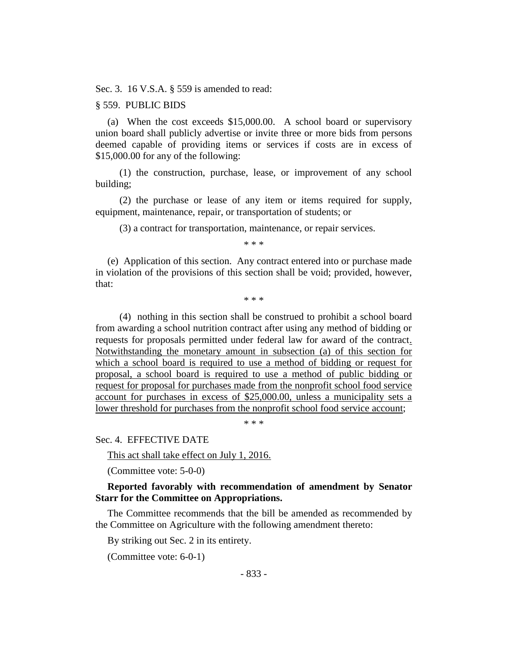Sec. 3. 16 V.S.A. § 559 is amended to read:

#### § 559. PUBLIC BIDS

(a) When the cost exceeds \$15,000.00. A school board or supervisory union board shall publicly advertise or invite three or more bids from persons deemed capable of providing items or services if costs are in excess of \$15,000.00 for any of the following:

(1) the construction, purchase, lease, or improvement of any school building;

(2) the purchase or lease of any item or items required for supply, equipment, maintenance, repair, or transportation of students; or

(3) a contract for transportation, maintenance, or repair services.

\* \* \*

(e) Application of this section. Any contract entered into or purchase made in violation of the provisions of this section shall be void; provided, however, that:

\* \* \*

(4) nothing in this section shall be construed to prohibit a school board from awarding a school nutrition contract after using any method of bidding or requests for proposals permitted under federal law for award of the contract. Notwithstanding the monetary amount in subsection (a) of this section for which a school board is required to use a method of bidding or request for proposal, a school board is required to use a method of public bidding or request for proposal for purchases made from the nonprofit school food service account for purchases in excess of \$25,000.00, unless a municipality sets a lower threshold for purchases from the nonprofit school food service account;

\* \* \*

Sec. 4. EFFECTIVE DATE

This act shall take effect on July 1, 2016.

(Committee vote: 5-0-0)

#### **Reported favorably with recommendation of amendment by Senator Starr for the Committee on Appropriations.**

The Committee recommends that the bill be amended as recommended by the Committee on Agriculture with the following amendment thereto:

By striking out Sec. 2 in its entirety.

(Committee vote: 6-0-1)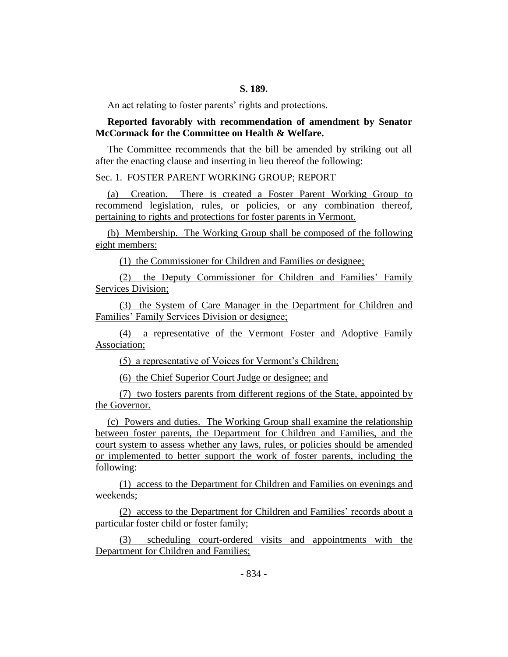An act relating to foster parents' rights and protections.

# **Reported favorably with recommendation of amendment by Senator McCormack for the Committee on Health & Welfare.**

The Committee recommends that the bill be amended by striking out all after the enacting clause and inserting in lieu thereof the following:

#### Sec. 1. FOSTER PARENT WORKING GROUP; REPORT

(a) Creation. There is created a Foster Parent Working Group to recommend legislation, rules, or policies, or any combination thereof, pertaining to rights and protections for foster parents in Vermont.

(b) Membership. The Working Group shall be composed of the following eight members:

(1) the Commissioner for Children and Families or designee;

(2) the Deputy Commissioner for Children and Families' Family Services Division;

(3) the System of Care Manager in the Department for Children and Families' Family Services Division or designee;

(4) a representative of the Vermont Foster and Adoptive Family Association;

(5) a representative of Voices for Vermont's Children;

(6) the Chief Superior Court Judge or designee; and

(7) two fosters parents from different regions of the State, appointed by the Governor.

(c) Powers and duties. The Working Group shall examine the relationship between foster parents, the Department for Children and Families, and the court system to assess whether any laws, rules, or policies should be amended or implemented to better support the work of foster parents, including the following:

(1) access to the Department for Children and Families on evenings and weekends;

(2) access to the Department for Children and Families' records about a particular foster child or foster family;

(3) scheduling court-ordered visits and appointments with the Department for Children and Families;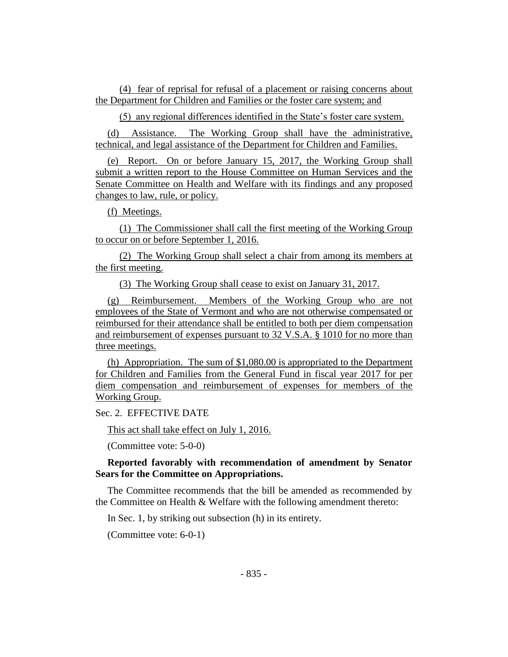(4) fear of reprisal for refusal of a placement or raising concerns about the Department for Children and Families or the foster care system; and

(5) any regional differences identified in the State's foster care system.

(d) Assistance. The Working Group shall have the administrative, technical, and legal assistance of the Department for Children and Families.

(e) Report. On or before January 15, 2017, the Working Group shall submit a written report to the House Committee on Human Services and the Senate Committee on Health and Welfare with its findings and any proposed changes to law, rule, or policy.

(f) Meetings.

(1) The Commissioner shall call the first meeting of the Working Group to occur on or before September 1, 2016.

(2) The Working Group shall select a chair from among its members at the first meeting.

(3) The Working Group shall cease to exist on January 31, 2017.

(g) Reimbursement. Members of the Working Group who are not employees of the State of Vermont and who are not otherwise compensated or reimbursed for their attendance shall be entitled to both per diem compensation and reimbursement of expenses pursuant to 32 V.S.A. § 1010 for no more than three meetings.

(h) Appropriation. The sum of \$1,080.00 is appropriated to the Department for Children and Families from the General Fund in fiscal year 2017 for per diem compensation and reimbursement of expenses for members of the Working Group.

Sec. 2. EFFECTIVE DATE

This act shall take effect on July 1, 2016.

(Committee vote: 5-0-0)

# **Reported favorably with recommendation of amendment by Senator Sears for the Committee on Appropriations.**

The Committee recommends that the bill be amended as recommended by the Committee on Health & Welfare with the following amendment thereto:

In Sec. 1, by striking out subsection (h) in its entirety.

(Committee vote: 6-0-1)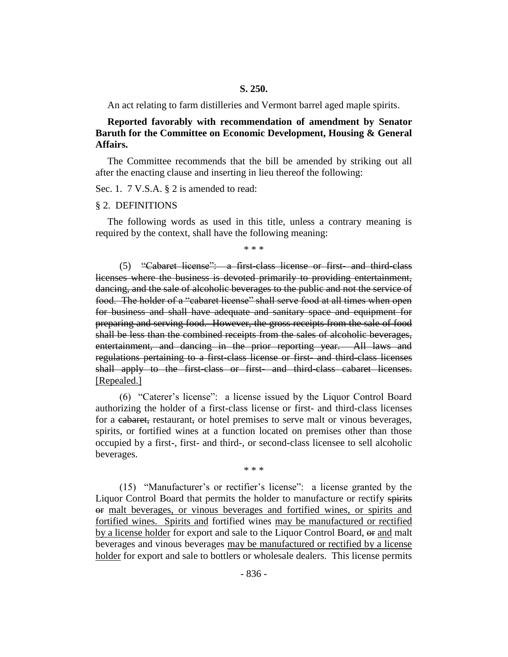#### **S. 250.**

An act relating to farm distilleries and Vermont barrel aged maple spirits.

**Reported favorably with recommendation of amendment by Senator Baruth for the Committee on Economic Development, Housing & General Affairs.**

The Committee recommends that the bill be amended by striking out all after the enacting clause and inserting in lieu thereof the following:

Sec. 1. 7 V.S.A. § 2 is amended to read:

#### § 2. DEFINITIONS

The following words as used in this title, unless a contrary meaning is required by the context, shall have the following meaning:

\* \* \*

(5) "Cabaret license": a first-class license or first- and third-class licenses where the business is devoted primarily to providing entertainment, dancing, and the sale of alcoholic beverages to the public and not the service of food. The holder of a "cabaret license" shall serve food at all times when open for business and shall have adequate and sanitary space and equipment for preparing and serving food. However, the gross receipts from the sale of food shall be less than the combined receipts from the sales of alcoholic beverages, entertainment, and dancing in the prior reporting year. All laws and regulations pertaining to a first-class license or first- and third-class licenses shall apply to the first-class or first- and third-class cabaret licenses. [Repealed.]

(6) "Caterer's license": a license issued by the Liquor Control Board authorizing the holder of a first-class license or first- and third-class licenses for a cabaret, restaurant, or hotel premises to serve malt or vinous beverages, spirits, or fortified wines at a function located on premises other than those occupied by a first-, first- and third-, or second-class licensee to sell alcoholic beverages.

\* \* \*

(15) "Manufacturer's or rectifier's license": a license granted by the Liquor Control Board that permits the holder to manufacture or rectify spirits or malt beverages, or vinous beverages and fortified wines, or spirits and fortified wines. Spirits and fortified wines may be manufactured or rectified by a license holder for export and sale to the Liquor Control Board,  $\Theta$  and malt beverages and vinous beverages may be manufactured or rectified by a license holder for export and sale to bottlers or wholesale dealers. This license permits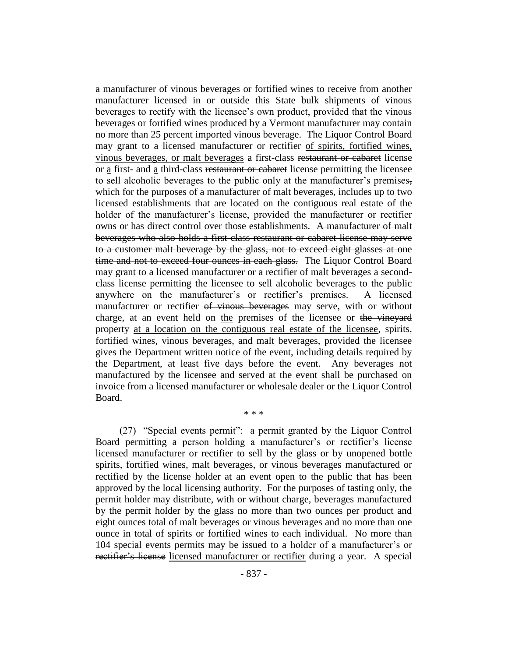a manufacturer of vinous beverages or fortified wines to receive from another manufacturer licensed in or outside this State bulk shipments of vinous beverages to rectify with the licensee's own product, provided that the vinous beverages or fortified wines produced by a Vermont manufacturer may contain no more than 25 percent imported vinous beverage. The Liquor Control Board may grant to a licensed manufacturer or rectifier of spirits, fortified wines, vinous beverages, or malt beverages a first-class restaurant or cabaret license or a first- and a third-class restaurant or cabaret license permitting the licensee to sell alcoholic beverages to the public only at the manufacturer's premises, which for the purposes of a manufacturer of malt beverages, includes up to two licensed establishments that are located on the contiguous real estate of the holder of the manufacturer's license, provided the manufacturer or rectifier owns or has direct control over those establishments. A manufacturer of malt beverages who also holds a first-class restaurant or cabaret license may serve to a customer malt beverage by the glass, not to exceed eight glasses at one time and not to exceed four ounces in each glass. The Liquor Control Board may grant to a licensed manufacturer or a rectifier of malt beverages a secondclass license permitting the licensee to sell alcoholic beverages to the public anywhere on the manufacturer's or rectifier's premises. A licensed manufacturer or rectifier of vinous beverages may serve, with or without charge, at an event held on the premises of the licensee or the vineyard property at a location on the contiguous real estate of the licensee, spirits, fortified wines, vinous beverages, and malt beverages, provided the licensee gives the Department written notice of the event, including details required by the Department, at least five days before the event. Any beverages not manufactured by the licensee and served at the event shall be purchased on invoice from a licensed manufacturer or wholesale dealer or the Liquor Control Board.

(27) "Special events permit": a permit granted by the Liquor Control Board permitting a person holding a manufacturer's or rectifier's license licensed manufacturer or rectifier to sell by the glass or by unopened bottle spirits, fortified wines, malt beverages, or vinous beverages manufactured or rectified by the license holder at an event open to the public that has been approved by the local licensing authority. For the purposes of tasting only, the permit holder may distribute, with or without charge, beverages manufactured by the permit holder by the glass no more than two ounces per product and eight ounces total of malt beverages or vinous beverages and no more than one ounce in total of spirits or fortified wines to each individual. No more than 104 special events permits may be issued to a holder of a manufacturer's or rectifier's license licensed manufacturer or rectifier during a year. A special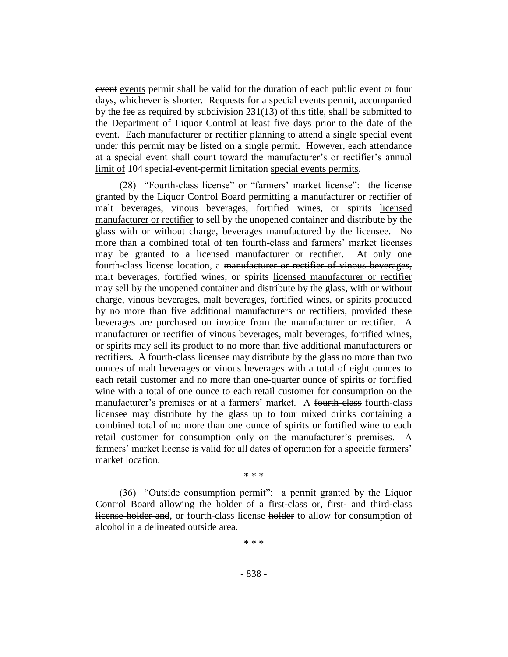event events permit shall be valid for the duration of each public event or four days, whichever is shorter. Requests for a special events permit, accompanied by the fee as required by subdivision 231(13) of this title, shall be submitted to the Department of Liquor Control at least five days prior to the date of the event. Each manufacturer or rectifier planning to attend a single special event under this permit may be listed on a single permit. However, each attendance at a special event shall count toward the manufacturer's or rectifier's annual limit of 104 special-event-permit limitation special events permits.

(28) "Fourth-class license" or "farmers' market license": the license granted by the Liquor Control Board permitting a manufacturer or rectifier of malt beverages, vinous beverages, fortified wines, or spirits licensed manufacturer or rectifier to sell by the unopened container and distribute by the glass with or without charge, beverages manufactured by the licensee. No more than a combined total of ten fourth-class and farmers' market licenses may be granted to a licensed manufacturer or rectifier. At only one fourth-class license location, a manufacturer or rectifier of vinous beverages, malt beverages, fortified wines, or spirits licensed manufacturer or rectifier may sell by the unopened container and distribute by the glass, with or without charge, vinous beverages, malt beverages, fortified wines, or spirits produced by no more than five additional manufacturers or rectifiers, provided these beverages are purchased on invoice from the manufacturer or rectifier. A manufacturer or rectifier of vinous beverages, malt beverages, fortified wines, or spirits may sell its product to no more than five additional manufacturers or rectifiers. A fourth-class licensee may distribute by the glass no more than two ounces of malt beverages or vinous beverages with a total of eight ounces to each retail customer and no more than one-quarter ounce of spirits or fortified wine with a total of one ounce to each retail customer for consumption on the manufacturer's premises or at a farmers' market. A fourth-class fourth-class licensee may distribute by the glass up to four mixed drinks containing a combined total of no more than one ounce of spirits or fortified wine to each retail customer for consumption only on the manufacturer's premises. A farmers' market license is valid for all dates of operation for a specific farmers' market location.

\* \* \*

(36) "Outside consumption permit": a permit granted by the Liquor Control Board allowing the holder of a first-class  $\Theta$ , first- and third-class license holder and, or fourth-class license holder to allow for consumption of alcohol in a delineated outside area.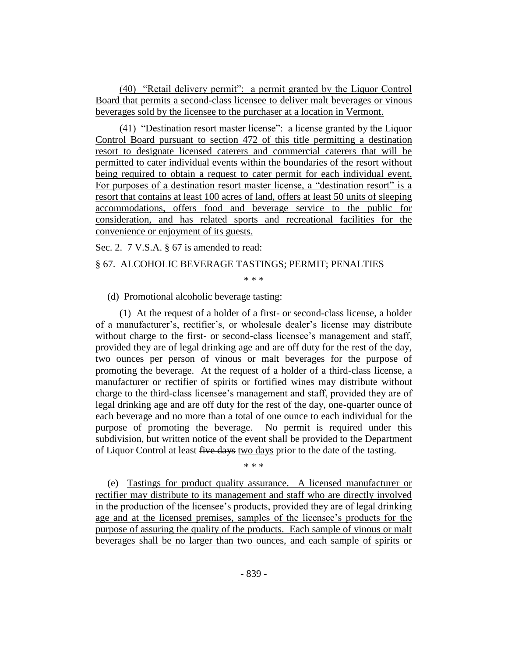(40) "Retail delivery permit": a permit granted by the Liquor Control Board that permits a second-class licensee to deliver malt beverages or vinous beverages sold by the licensee to the purchaser at a location in Vermont.

(41) "Destination resort master license": a license granted by the Liquor Control Board pursuant to section 472 of this title permitting a destination resort to designate licensed caterers and commercial caterers that will be permitted to cater individual events within the boundaries of the resort without being required to obtain a request to cater permit for each individual event. For purposes of a destination resort master license, a "destination resort" is a resort that contains at least 100 acres of land, offers at least 50 units of sleeping accommodations, offers food and beverage service to the public for consideration, and has related sports and recreational facilities for the convenience or enjoyment of its guests.

Sec. 2. 7 V.S.A. § 67 is amended to read:

### § 67. ALCOHOLIC BEVERAGE TASTINGS; PERMIT; PENALTIES

\* \* \*

(d) Promotional alcoholic beverage tasting:

(1) At the request of a holder of a first- or second-class license, a holder of a manufacturer's, rectifier's, or wholesale dealer's license may distribute without charge to the first- or second-class licensee's management and staff, provided they are of legal drinking age and are off duty for the rest of the day, two ounces per person of vinous or malt beverages for the purpose of promoting the beverage. At the request of a holder of a third-class license, a manufacturer or rectifier of spirits or fortified wines may distribute without charge to the third-class licensee's management and staff, provided they are of legal drinking age and are off duty for the rest of the day, one-quarter ounce of each beverage and no more than a total of one ounce to each individual for the purpose of promoting the beverage. No permit is required under this subdivision, but written notice of the event shall be provided to the Department of Liquor Control at least five days two days prior to the date of the tasting.

(e) Tastings for product quality assurance. A licensed manufacturer or rectifier may distribute to its management and staff who are directly involved in the production of the licensee's products, provided they are of legal drinking age and at the licensed premises, samples of the licensee's products for the purpose of assuring the quality of the products. Each sample of vinous or malt beverages shall be no larger than two ounces, and each sample of spirits or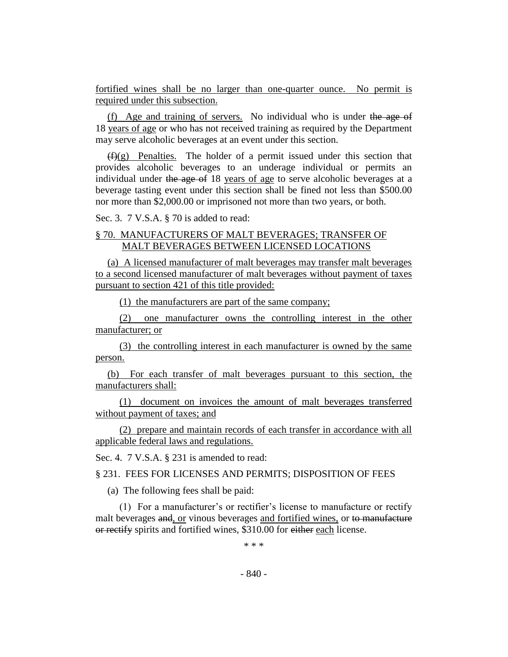fortified wines shall be no larger than one-quarter ounce. No permit is required under this subsection.

(f) Age and training of servers. No individual who is under the age of 18 years of age or who has not received training as required by the Department may serve alcoholic beverages at an event under this section.

 $(f)(g)$  Penalties. The holder of a permit issued under this section that provides alcoholic beverages to an underage individual or permits an individual under the age of 18 years of age to serve alcoholic beverages at a beverage tasting event under this section shall be fined not less than \$500.00 nor more than \$2,000.00 or imprisoned not more than two years, or both.

Sec. 3. 7 V.S.A. § 70 is added to read:

# § 70. MANUFACTURERS OF MALT BEVERAGES; TRANSFER OF MALT BEVERAGES BETWEEN LICENSED LOCATIONS

(a) A licensed manufacturer of malt beverages may transfer malt beverages to a second licensed manufacturer of malt beverages without payment of taxes pursuant to section 421 of this title provided:

(1) the manufacturers are part of the same company;

(2) one manufacturer owns the controlling interest in the other manufacturer; or

(3) the controlling interest in each manufacturer is owned by the same person.

(b) For each transfer of malt beverages pursuant to this section, the manufacturers shall:

(1) document on invoices the amount of malt beverages transferred without payment of taxes; and

(2) prepare and maintain records of each transfer in accordance with all applicable federal laws and regulations.

Sec. 4. 7 V.S.A. § 231 is amended to read:

§ 231. FEES FOR LICENSES AND PERMITS; DISPOSITION OF FEES

(a) The following fees shall be paid:

(1) For a manufacturer's or rectifier's license to manufacture or rectify malt beverages and, or vinous beverages and fortified wines, or to manufacture or rectify spirits and fortified wines, \$310.00 for either each license.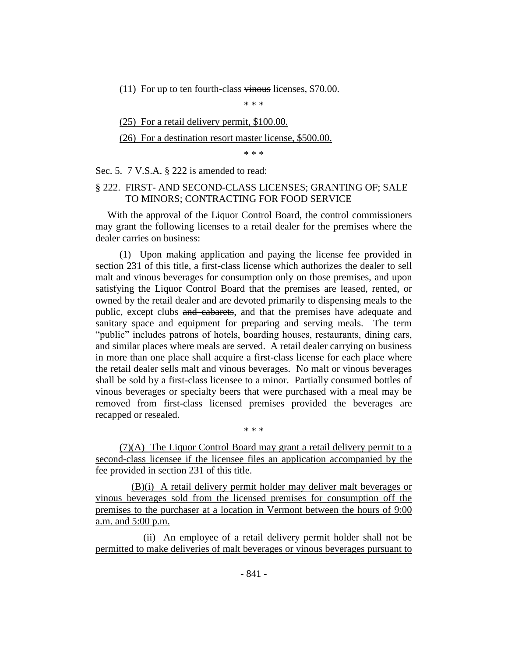(11) For up to ten fourth-class vinous licenses, \$70.00.

\* \* \*

(25) For a retail delivery permit, \$100.00.

#### (26) For a destination resort master license, \$500.00.

\* \* \*

#### Sec. 5. 7 V.S.A. § 222 is amended to read:

# § 222. FIRST- AND SECOND-CLASS LICENSES; GRANTING OF; SALE TO MINORS; CONTRACTING FOR FOOD SERVICE

With the approval of the Liquor Control Board, the control commissioners may grant the following licenses to a retail dealer for the premises where the dealer carries on business:

(1) Upon making application and paying the license fee provided in section 231 of this title, a first-class license which authorizes the dealer to sell malt and vinous beverages for consumption only on those premises, and upon satisfying the Liquor Control Board that the premises are leased, rented, or owned by the retail dealer and are devoted primarily to dispensing meals to the public, except clubs and cabarets, and that the premises have adequate and sanitary space and equipment for preparing and serving meals. The term "public" includes patrons of hotels, boarding houses, restaurants, dining cars, and similar places where meals are served. A retail dealer carrying on business in more than one place shall acquire a first-class license for each place where the retail dealer sells malt and vinous beverages. No malt or vinous beverages shall be sold by a first-class licensee to a minor. Partially consumed bottles of vinous beverages or specialty beers that were purchased with a meal may be removed from first-class licensed premises provided the beverages are recapped or resealed.

(7)(A) The Liquor Control Board may grant a retail delivery permit to a second-class licensee if the licensee files an application accompanied by the fee provided in section 231 of this title.

\* \* \*

(B)(i) A retail delivery permit holder may deliver malt beverages or vinous beverages sold from the licensed premises for consumption off the premises to the purchaser at a location in Vermont between the hours of 9:00 a.m. and 5:00 p.m.

(ii) An employee of a retail delivery permit holder shall not be permitted to make deliveries of malt beverages or vinous beverages pursuant to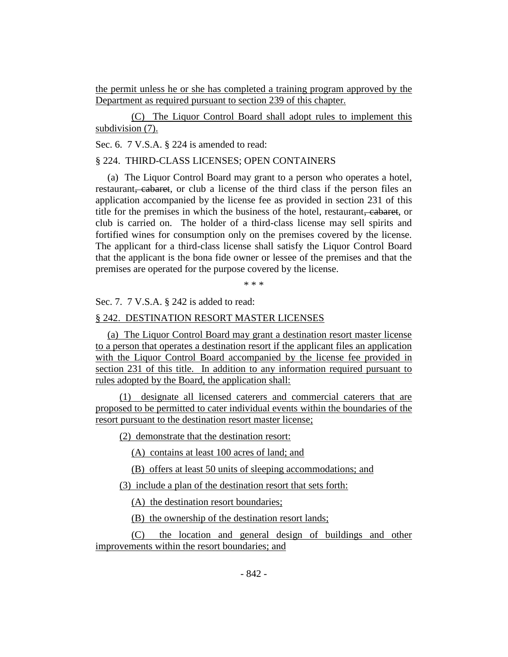the permit unless he or she has completed a training program approved by the Department as required pursuant to section 239 of this chapter.

(C) The Liquor Control Board shall adopt rules to implement this subdivision (7).

Sec. 6. 7 V.S.A. § 224 is amended to read:

# § 224. THIRD-CLASS LICENSES; OPEN CONTAINERS

(a) The Liquor Control Board may grant to a person who operates a hotel, restaurant, cabaret, or club a license of the third class if the person files an application accompanied by the license fee as provided in section 231 of this title for the premises in which the business of the hotel, restaurant, cabaret, or club is carried on. The holder of a third-class license may sell spirits and fortified wines for consumption only on the premises covered by the license. The applicant for a third-class license shall satisfy the Liquor Control Board that the applicant is the bona fide owner or lessee of the premises and that the premises are operated for the purpose covered by the license.

\* \* \*

Sec. 7. 7 V.S.A. § 242 is added to read:

#### § 242. DESTINATION RESORT MASTER LICENSES

(a) The Liquor Control Board may grant a destination resort master license to a person that operates a destination resort if the applicant files an application with the Liquor Control Board accompanied by the license fee provided in section 231 of this title. In addition to any information required pursuant to rules adopted by the Board, the application shall:

(1) designate all licensed caterers and commercial caterers that are proposed to be permitted to cater individual events within the boundaries of the resort pursuant to the destination resort master license;

(2) demonstrate that the destination resort:

(A) contains at least 100 acres of land; and

(B) offers at least 50 units of sleeping accommodations; and

(3) include a plan of the destination resort that sets forth:

(A) the destination resort boundaries;

(B) the ownership of the destination resort lands;

(C) the location and general design of buildings and other improvements within the resort boundaries; and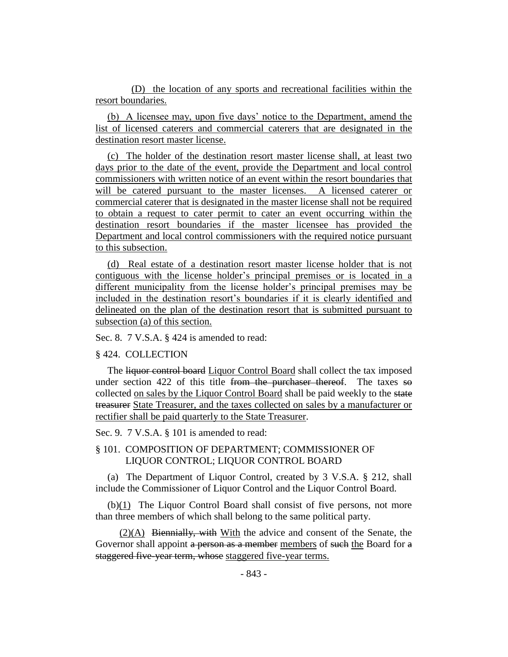(D) the location of any sports and recreational facilities within the resort boundaries.

(b) A licensee may, upon five days' notice to the Department, amend the list of licensed caterers and commercial caterers that are designated in the destination resort master license.

(c) The holder of the destination resort master license shall, at least two days prior to the date of the event, provide the Department and local control commissioners with written notice of an event within the resort boundaries that will be catered pursuant to the master licenses. A licensed caterer or commercial caterer that is designated in the master license shall not be required to obtain a request to cater permit to cater an event occurring within the destination resort boundaries if the master licensee has provided the Department and local control commissioners with the required notice pursuant to this subsection.

(d) Real estate of a destination resort master license holder that is not contiguous with the license holder's principal premises or is located in a different municipality from the license holder's principal premises may be included in the destination resort's boundaries if it is clearly identified and delineated on the plan of the destination resort that is submitted pursuant to subsection (a) of this section.

Sec. 8. 7 V.S.A. § 424 is amended to read:

§ 424. COLLECTION

The liquor control board Liquor Control Board shall collect the tax imposed under section 422 of this title from the purchaser thereof. The taxes  $\theta$ collected on sales by the Liquor Control Board shall be paid weekly to the state treasurer State Treasurer, and the taxes collected on sales by a manufacturer or rectifier shall be paid quarterly to the State Treasurer.

Sec. 9. 7 V.S.A. § 101 is amended to read:

# § 101. COMPOSITION OF DEPARTMENT; COMMISSIONER OF LIQUOR CONTROL; LIQUOR CONTROL BOARD

(a) The Department of Liquor Control, created by 3 V.S.A. § 212, shall include the Commissioner of Liquor Control and the Liquor Control Board.

(b)(1) The Liquor Control Board shall consist of five persons, not more than three members of which shall belong to the same political party.

 $(2)(A)$  Biennially, with With the advice and consent of the Senate, the Governor shall appoint a person as a member members of such the Board for a staggered five-year term, whose staggered five-year terms.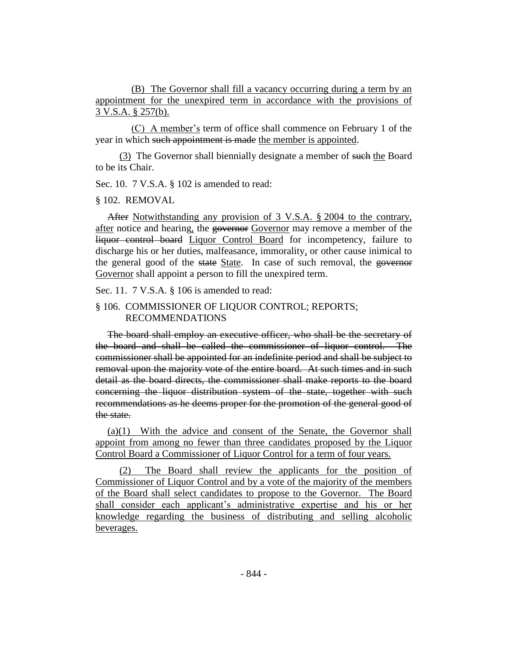(B) The Governor shall fill a vacancy occurring during a term by an appointment for the unexpired term in accordance with the provisions of 3 V.S.A. § 257(b).

(C) A member's term of office shall commence on February 1 of the year in which such appointment is made the member is appointed.

(3) The Governor shall biennially designate a member of such the Board to be its Chair.

Sec. 10. 7 V.S.A. § 102 is amended to read:

#### § 102. REMOVAL

After Notwithstanding any provision of 3 V.S.A. § 2004 to the contrary, after notice and hearing, the governor Governor may remove a member of the liquor control board Liquor Control Board for incompetency, failure to discharge his or her duties, malfeasance, immorality, or other cause inimical to the general good of the state State. In case of such removal, the governor Governor shall appoint a person to fill the unexpired term.

Sec. 11. 7 V.S.A. § 106 is amended to read:

# § 106. COMMISSIONER OF LIQUOR CONTROL; REPORTS; RECOMMENDATIONS

The board shall employ an executive officer, who shall be the secretary of the board and shall be called the commissioner of liquor control. The commissioner shall be appointed for an indefinite period and shall be subject to removal upon the majority vote of the entire board. At such times and in such detail as the board directs, the commissioner shall make reports to the board concerning the liquor distribution system of the state, together with such recommendations as he deems proper for the promotion of the general good of the state.

(a)(1) With the advice and consent of the Senate, the Governor shall appoint from among no fewer than three candidates proposed by the Liquor Control Board a Commissioner of Liquor Control for a term of four years.

(2) The Board shall review the applicants for the position of Commissioner of Liquor Control and by a vote of the majority of the members of the Board shall select candidates to propose to the Governor. The Board shall consider each applicant's administrative expertise and his or her knowledge regarding the business of distributing and selling alcoholic beverages.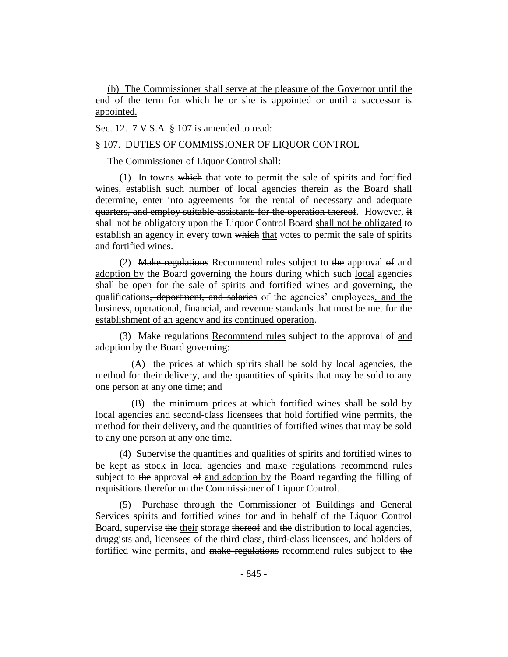(b) The Commissioner shall serve at the pleasure of the Governor until the end of the term for which he or she is appointed or until a successor is appointed.

Sec. 12. 7 V.S.A. § 107 is amended to read:

#### § 107. DUTIES OF COMMISSIONER OF LIQUOR CONTROL

The Commissioner of Liquor Control shall:

(1) In towns which that vote to permit the sale of spirits and fortified wines, establish such number of local agencies therein as the Board shall determine, enter into agreements for the rental of necessary and adequate quarters, and employ suitable assistants for the operation thereof. However, it shall not be obligatory upon the Liquor Control Board shall not be obligated to establish an agency in every town which that votes to permit the sale of spirits and fortified wines.

(2) Make regulations Recommend rules subject to the approval of and adoption by the Board governing the hours during which such local agencies shall be open for the sale of spirits and fortified wines and governing, the qualifications, deportment, and salaries of the agencies' employees, and the business, operational, financial, and revenue standards that must be met for the establishment of an agency and its continued operation.

(3) Make regulations Recommend rules subject to the approval of and adoption by the Board governing:

(A) the prices at which spirits shall be sold by local agencies, the method for their delivery, and the quantities of spirits that may be sold to any one person at any one time; and

(B) the minimum prices at which fortified wines shall be sold by local agencies and second-class licensees that hold fortified wine permits, the method for their delivery, and the quantities of fortified wines that may be sold to any one person at any one time.

(4) Supervise the quantities and qualities of spirits and fortified wines to be kept as stock in local agencies and make regulations recommend rules subject to the approval of and adoption by the Board regarding the filling of requisitions therefor on the Commissioner of Liquor Control.

(5) Purchase through the Commissioner of Buildings and General Services spirits and fortified wines for and in behalf of the Liquor Control Board, supervise the their storage thereof and the distribution to local agencies, druggists and, licensees of the third class, third-class licensees, and holders of fortified wine permits, and make regulations recommend rules subject to the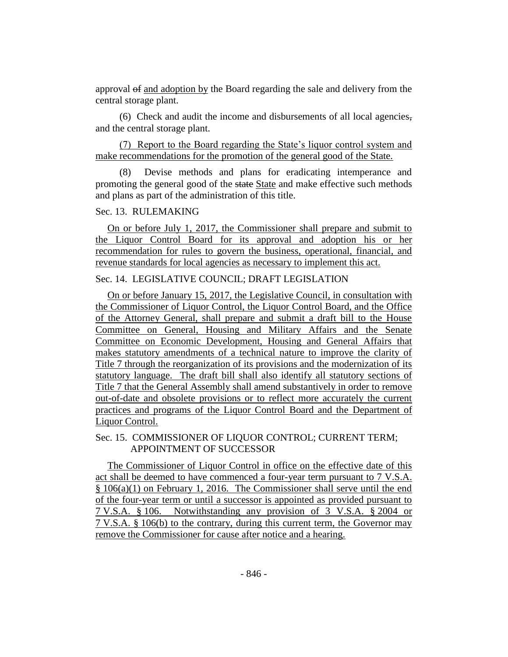approval of and adoption by the Board regarding the sale and delivery from the central storage plant.

(6) Check and audit the income and disbursements of all local agencies, and the central storage plant.

(7) Report to the Board regarding the State's liquor control system and make recommendations for the promotion of the general good of the State.

Devise methods and plans for eradicating intemperance and promoting the general good of the state State and make effective such methods and plans as part of the administration of this title.

# Sec. 13. RULEMAKING

On or before July 1, 2017, the Commissioner shall prepare and submit to the Liquor Control Board for its approval and adoption his or her recommendation for rules to govern the business, operational, financial, and revenue standards for local agencies as necessary to implement this act.

# Sec. 14. LEGISLATIVE COUNCIL; DRAFT LEGISLATION

On or before January 15, 2017, the Legislative Council, in consultation with the Commissioner of Liquor Control, the Liquor Control Board, and the Office of the Attorney General, shall prepare and submit a draft bill to the House Committee on General, Housing and Military Affairs and the Senate Committee on Economic Development, Housing and General Affairs that makes statutory amendments of a technical nature to improve the clarity of Title 7 through the reorganization of its provisions and the modernization of its statutory language. The draft bill shall also identify all statutory sections of Title 7 that the General Assembly shall amend substantively in order to remove out-of-date and obsolete provisions or to reflect more accurately the current practices and programs of the Liquor Control Board and the Department of Liquor Control.

# Sec. 15. COMMISSIONER OF LIQUOR CONTROL; CURRENT TERM; APPOINTMENT OF SUCCESSOR

The Commissioner of Liquor Control in office on the effective date of this act shall be deemed to have commenced a four-year term pursuant to 7 V.S.A. § 106(a)(1) on February 1, 2016. The Commissioner shall serve until the end of the four-year term or until a successor is appointed as provided pursuant to 7 V.S.A. § 106. Notwithstanding any provision of 3 V.S.A. § 2004 or 7 V.S.A. § 106(b) to the contrary, during this current term, the Governor may remove the Commissioner for cause after notice and a hearing.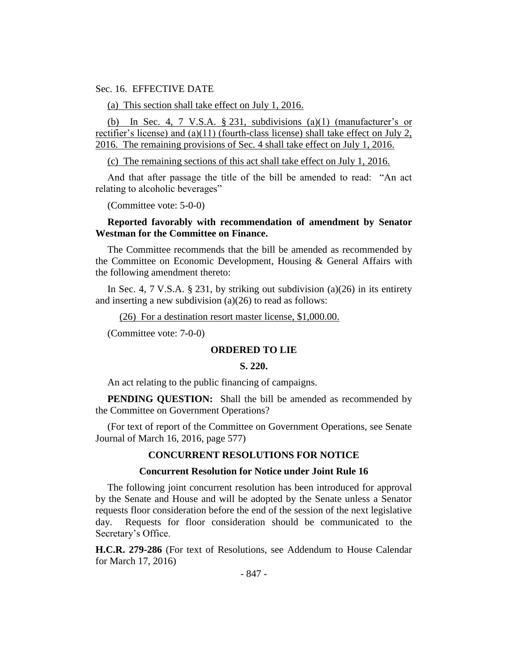Sec. 16. EFFECTIVE DATE

(a) This section shall take effect on July 1, 2016.

(b) In Sec. 4, 7 V.S.A.  $\S$  231, subdivisions (a)(1) (manufacturer's or rectifier's license) and (a)(11) (fourth-class license) shall take effect on July 2, 2016. The remaining provisions of Sec. 4 shall take effect on July 1, 2016.

(c) The remaining sections of this act shall take effect on July 1, 2016.

And that after passage the title of the bill be amended to read: "An act relating to alcoholic beverages"

(Committee vote: 5-0-0)

## **Reported favorably with recommendation of amendment by Senator Westman for the Committee on Finance.**

The Committee recommends that the bill be amended as recommended by the Committee on Economic Development, Housing & General Affairs with the following amendment thereto:

In Sec. 4, 7 V.S.A. § 231, by striking out subdivision (a)(26) in its entirety and inserting a new subdivision (a)(26) to read as follows:

(26) For a destination resort master license, \$1,000.00.

(Committee vote: 7-0-0)

#### **ORDERED TO LIE**

#### **S. 220.**

An act relating to the public financing of campaigns.

**PENDING QUESTION:** Shall the bill be amended as recommended by the Committee on Government Operations?

(For text of report of the Committee on Government Operations, see Senate Journal of March 16, 2016, page 577)

#### **CONCURRENT RESOLUTIONS FOR NOTICE**

#### **Concurrent Resolution for Notice under Joint Rule 16**

The following joint concurrent resolution has been introduced for approval by the Senate and House and will be adopted by the Senate unless a Senator requests floor consideration before the end of the session of the next legislative day. Requests for floor consideration should be communicated to the Secretary's Office.

**H.C.R. 279-286** (For text of Resolutions, see Addendum to House Calendar for March 17, 2016)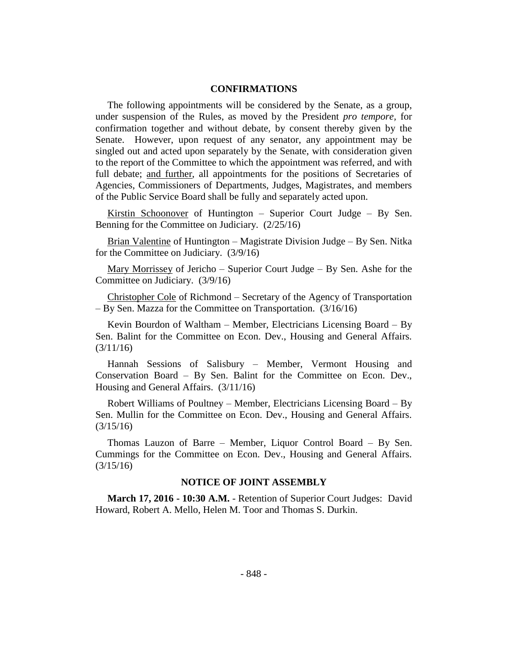### **CONFIRMATIONS**

The following appointments will be considered by the Senate, as a group, under suspension of the Rules, as moved by the President *pro tempore,* for confirmation together and without debate, by consent thereby given by the Senate. However, upon request of any senator, any appointment may be singled out and acted upon separately by the Senate, with consideration given to the report of the Committee to which the appointment was referred, and with full debate; and further, all appointments for the positions of Secretaries of Agencies, Commissioners of Departments, Judges, Magistrates, and members of the Public Service Board shall be fully and separately acted upon.

Kirstin Schoonover of Huntington – Superior Court Judge – By Sen. Benning for the Committee on Judiciary. (2/25/16)

Brian Valentine of Huntington – Magistrate Division Judge – By Sen. Nitka for the Committee on Judiciary. (3/9/16)

Mary Morrissey of Jericho – Superior Court Judge – By Sen. Ashe for the Committee on Judiciary. (3/9/16)

Christopher Cole of Richmond – Secretary of the Agency of Transportation – By Sen. Mazza for the Committee on Transportation. (3/16/16)

Kevin Bourdon of Waltham – Member, Electricians Licensing Board – By Sen. Balint for the Committee on Econ. Dev., Housing and General Affairs. (3/11/16)

Hannah Sessions of Salisbury – Member, Vermont Housing and Conservation Board – By Sen. Balint for the Committee on Econ. Dev., Housing and General Affairs. (3/11/16)

Robert Williams of Poultney – Member, Electricians Licensing Board – By Sen. Mullin for the Committee on Econ. Dev., Housing and General Affairs. (3/15/16)

Thomas Lauzon of Barre – Member, Liquor Control Board – By Sen. Cummings for the Committee on Econ. Dev., Housing and General Affairs.  $(3/15/16)$ 

#### **NOTICE OF JOINT ASSEMBLY**

**March 17, 2016 - 10:30 A.M.** - Retention of Superior Court Judges: David Howard, Robert A. Mello, Helen M. Toor and Thomas S. Durkin.